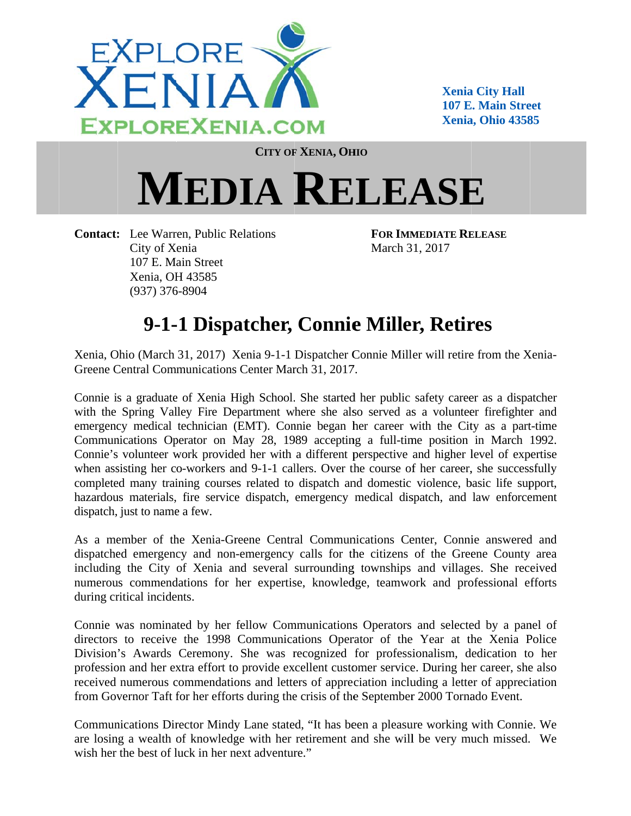

**Xenia a City Hall 107 E. Main Street Xenia a, Ohio 4358 85** 

**CITY OF F XENIA, OH HIO**

## $MEDIA$  **RELEASE**

Contact: Lee Warren, Public Relations City of X enia 107 E. Ma ain Street Xenia, OH H 43585 (937) 376 6-8904

**FOR IMM MEDIATE RE ELEASE** March 3 1, 2017

## 9-1-1 Dispatcher, Connie Miller, Retires

Xenia, Ohio (March 31, 2017) Xenia 9-1-1 Dispatcher Connie Miller will retire from the Xenia-Greene Central Communications Center March 31, 2017.

Connie is a graduate of Xenia High School. She started her public safety career as a dispatcher with the Spring Valley Fire Department where she also served as a volunteer firefighter and emergency medical technician (EMT). Connie began her career with the City as a part-time Communications Operator on May 28, 1989 accepting a full-time position in March 1992. Connie's volunteer work provided her with a different perspective and higher level of expertise when assisting her co-workers and 9-1-1 callers. Over the course of her career, she successfully completed many training courses related to dispatch and domestic violence, basic life support, hazardous materials, fire service dispatch, emergency medical dispatch, and law enforcement dispatch, just to name a few.

As a member of the Xenia-Greene Central Communications Center, Connie answered and dispatched emergency and non-emergency calls for the citizens of the Greene County area including the City of Xenia and several surrounding townships and villages. She received numerous commendations for her expertise, knowledge, teamwork and professional efforts during critical incidents.

Connie was nominated by her fellow Communications Operators and selected by a panel of directors to receive the 1998 Communications Operator of the Year at the Xenia Police Division's Awards Ceremony. She was recognized for professionalism, dedication to her profession and her extra effort to provide excellent customer service. During her career, she also received numerous commendations and letters of appreciation including a letter of appreciation from Governor Taft for her efforts during the crisis of the September 2000 Tornado Event.

Communications Director Mindy Lane stated, "It has been a pleasure working with Connie. We are losing a wealth of knowledge with her retirement and she will be very much missed. We wish her the best of luck in her next adventure."